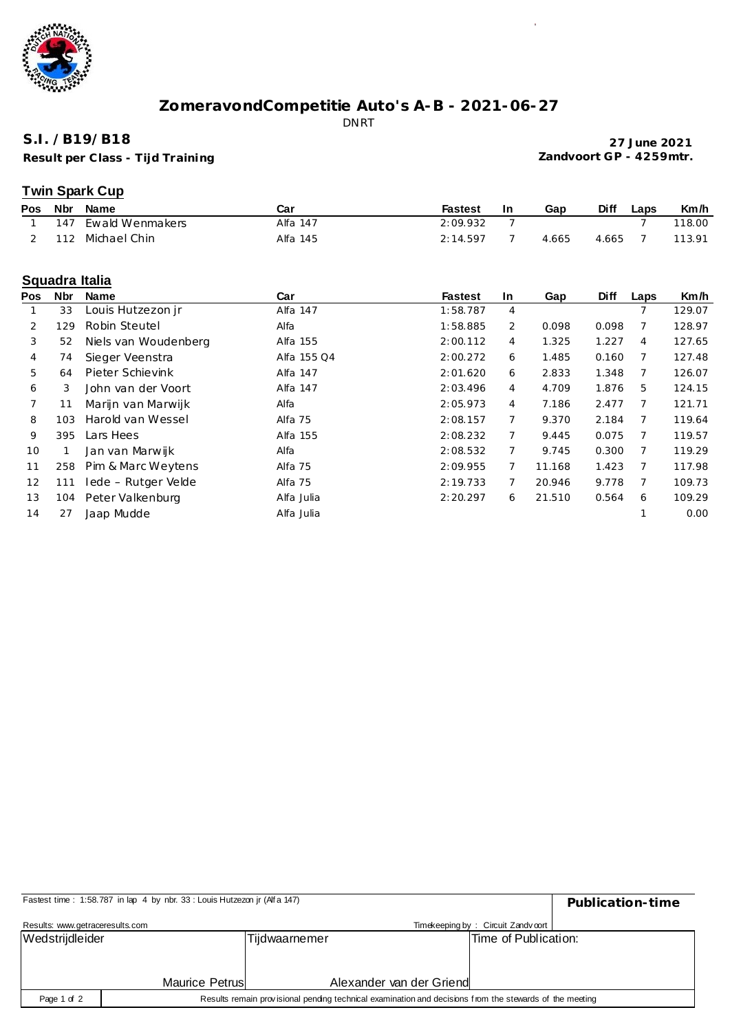

# **ZomeravondCompetitie Auto's A-B - 2021-06-27**

DNRT

#### **S.I. /B19/B18**

**Result per C lass - Tijd Training**

**27 June 2021 Zandvoort GP - 4259mtr.**

 $\sim$ 

## **Twin Spark Cup**

| Pos | Nbr | Name                | Car      | Fastest  | -In | Gap   | <b>Diff</b> | ∟aps | Km/h   |
|-----|-----|---------------------|----------|----------|-----|-------|-------------|------|--------|
|     |     | 147 Ewald Wenmakers | Alfa 147 | 2:09.932 |     |       |             |      | 118.00 |
|     | 112 | Michael Chin        | Alfa 145 | 2:14.597 |     | 4.665 | 4.665       |      | 113.91 |

#### **Squadra Italia**

| <b>Pos</b> | <b>Nbr</b> | <b>Name</b>          | Car         | <b>Fastest</b> | <b>In</b> | Gap    | <b>Diff</b> | Laps | Km/h   |
|------------|------------|----------------------|-------------|----------------|-----------|--------|-------------|------|--------|
|            | 33         | Louis Hutzezon jr    | Alfa 147    | 1:58.787       | 4         |        |             |      | 129.07 |
| 2          | 129        | Robin Steutel        | Alfa        | 1:58.885       | 2         | 0.098  | 0.098       | 7    | 128.97 |
| 3          | 52         | Niels van Woudenberg | Alfa 155    | 2:00.112       | 4         | 1.325  | 1.227       | 4    | 127.65 |
| 4          | 74         | Sieger Veenstra      | Alfa 155 Q4 | 2:00.272       | 6         | 1.485  | 0.160       | 7    | 127.48 |
| 5          | 64         | Pieter Schievink     | Alfa 147    | 2:01.620       | 6         | 2.833  | 1.348       | 7    | 126.07 |
| 6          | 3          | John van der Voort   | Alfa 147    | 2:03.496       | 4         | 4.709  | 1.876       | 5    | 124.15 |
|            | 11         | Marijn van Marwijk   | Alfa        | 2:05.973       | 4         | 7.186  | 2.477       |      | 121.71 |
| 8          | 103        | Harold van Wessel    | Alfa 75     | 2:08.157       |           | 9.370  | 2.184       | 7    | 119.64 |
| 9          | 395        | Lars Hees            | Alfa 155    | 2:08.232       |           | 9.445  | 0.075       |      | 119.57 |
| 10         |            | Jan van Marwijk      | Alfa        | 2:08.532       |           | 9.745  | 0.300       | 7    | 119.29 |
| 11         | 258        | Pim & Marc Weytens   | Alfa 75     | 2:09.955       |           | 11.168 | 1.423       |      | 117.98 |
| 12         | 111        | Iede - Rutger Velde  | Alfa 75     | 2:19.733       |           | 20.946 | 9.778       | 7    | 109.73 |
| 13         | 104        | Peter Valkenburg     | Alfa Julia  | 2:20.297       | 6         | 21.510 | 0.564       | 6    | 109.29 |
| 14         | 27         | Jaap Mudde           | Alfa Julia  |                |           |        |             |      | 0.00   |

| Fastest time: 1:58.787 in lap 4 by nbr. 33 : Louis Hutzezon jr (Alfa 147) | Publication-time                                                                                        |                      |  |
|---------------------------------------------------------------------------|---------------------------------------------------------------------------------------------------------|----------------------|--|
| Results: www.getraceresults.com                                           |                                                                                                         |                      |  |
| Wedstrijdleider                                                           | Tijdwaarnemer                                                                                           | Time of Publication: |  |
|                                                                           |                                                                                                         |                      |  |
|                                                                           | Alexander van der Griend                                                                                |                      |  |
|                                                                           |                                                                                                         |                      |  |
| Page 1 of 2                                                               | Results remain provisional pending technical examination and decisions from the stewards of the meeting |                      |  |